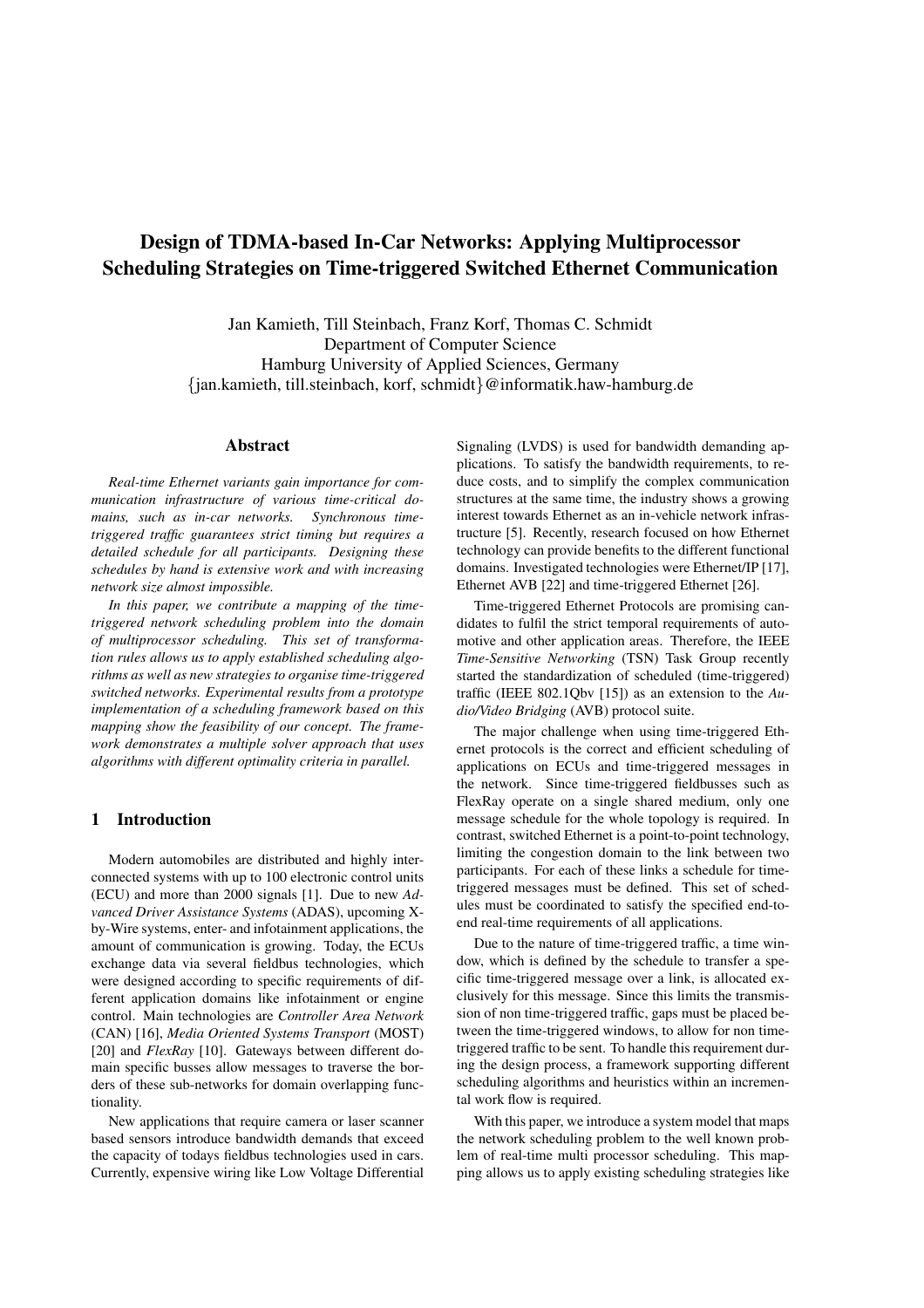# Design of TDMA-based In-Car Networks: Applying Multiprocessor Scheduling Strategies on Time-triggered Switched Ethernet Communication

Jan Kamieth, Till Steinbach, Franz Korf, Thomas C. Schmidt Department of Computer Science Hamburg University of Applied Sciences, Germany *{*jan.kamieth, till.steinbach, korf, schmidt*}*@informatik.haw-hamburg.de

# Abstract

*Real-time Ethernet variants gain importance for communication infrastructure of various time-critical domains, such as in-car networks. Synchronous timetriggered traffic guarantees strict timing but requires a detailed schedule for all participants. Designing these schedules by hand is extensive work and with increasing network size almost impossible.*

*In this paper, we contribute a mapping of the timetriggered network scheduling problem into the domain of multiprocessor scheduling. This set of transformation rules allows us to apply established scheduling algorithms as well as new strategies to organise time-triggered switched networks. Experimental results from a prototype implementation of a scheduling framework based on this mapping show the feasibility of our concept. The framework demonstrates a multiple solver approach that uses algorithms with different optimality criteria in parallel.*

# 1 Introduction

Modern automobiles are distributed and highly interconnected systems with up to 100 electronic control units (ECU) and more than 2000 signals [1]. Due to new *Advanced Driver Assistance Systems* (ADAS), upcoming Xby-Wire systems, enter- and infotainment applications, the amount of communication is growing. Today, the ECUs exchange data via several fieldbus technologies, which were designed according to specific requirements of different application domains like infotainment or engine control. Main technologies are *Controller Area Network* (CAN) [16], *Media Oriented Systems Transport* (MOST) [20] and *FlexRay* [10]. Gateways between different domain specific busses allow messages to traverse the borders of these sub-networks for domain overlapping functionality.

New applications that require camera or laser scanner based sensors introduce bandwidth demands that exceed the capacity of todays fieldbus technologies used in cars. Currently, expensive wiring like Low Voltage Differential

Signaling (LVDS) is used for bandwidth demanding applications. To satisfy the bandwidth requirements, to reduce costs, and to simplify the complex communication structures at the same time, the industry shows a growing interest towards Ethernet as an in-vehicle network infrastructure [5]. Recently, research focused on how Ethernet technology can provide benefits to the different functional domains. Investigated technologies were Ethernet/IP [17], Ethernet AVB [22] and time-triggered Ethernet [26].

Time-triggered Ethernet Protocols are promising candidates to fulfil the strict temporal requirements of automotive and other application areas. Therefore, the IEEE *Time-Sensitive Networking* (TSN) Task Group recently started the standardization of scheduled (time-triggered) traffic (IEEE 802.1Qbv [15]) as an extension to the *Audio/Video Bridging* (AVB) protocol suite.

The major challenge when using time-triggered Ethernet protocols is the correct and efficient scheduling of applications on ECUs and time-triggered messages in the network. Since time-triggered fieldbusses such as FlexRay operate on a single shared medium, only one message schedule for the whole topology is required. In contrast, switched Ethernet is a point-to-point technology, limiting the congestion domain to the link between two participants. For each of these links a schedule for timetriggered messages must be defined. This set of schedules must be coordinated to satisfy the specified end-toend real-time requirements of all applications.

Due to the nature of time-triggered traffic, a time window, which is defined by the schedule to transfer a specific time-triggered message over a link, is allocated exclusively for this message. Since this limits the transmission of non time-triggered traffic, gaps must be placed between the time-triggered windows, to allow for non timetriggered traffic to be sent. To handle this requirement during the design process, a framework supporting different scheduling algorithms and heuristics within an incremental work flow is required.

With this paper, we introduce a system model that maps the network scheduling problem to the well known problem of real-time multi processor scheduling. This mapping allows us to apply existing scheduling strategies like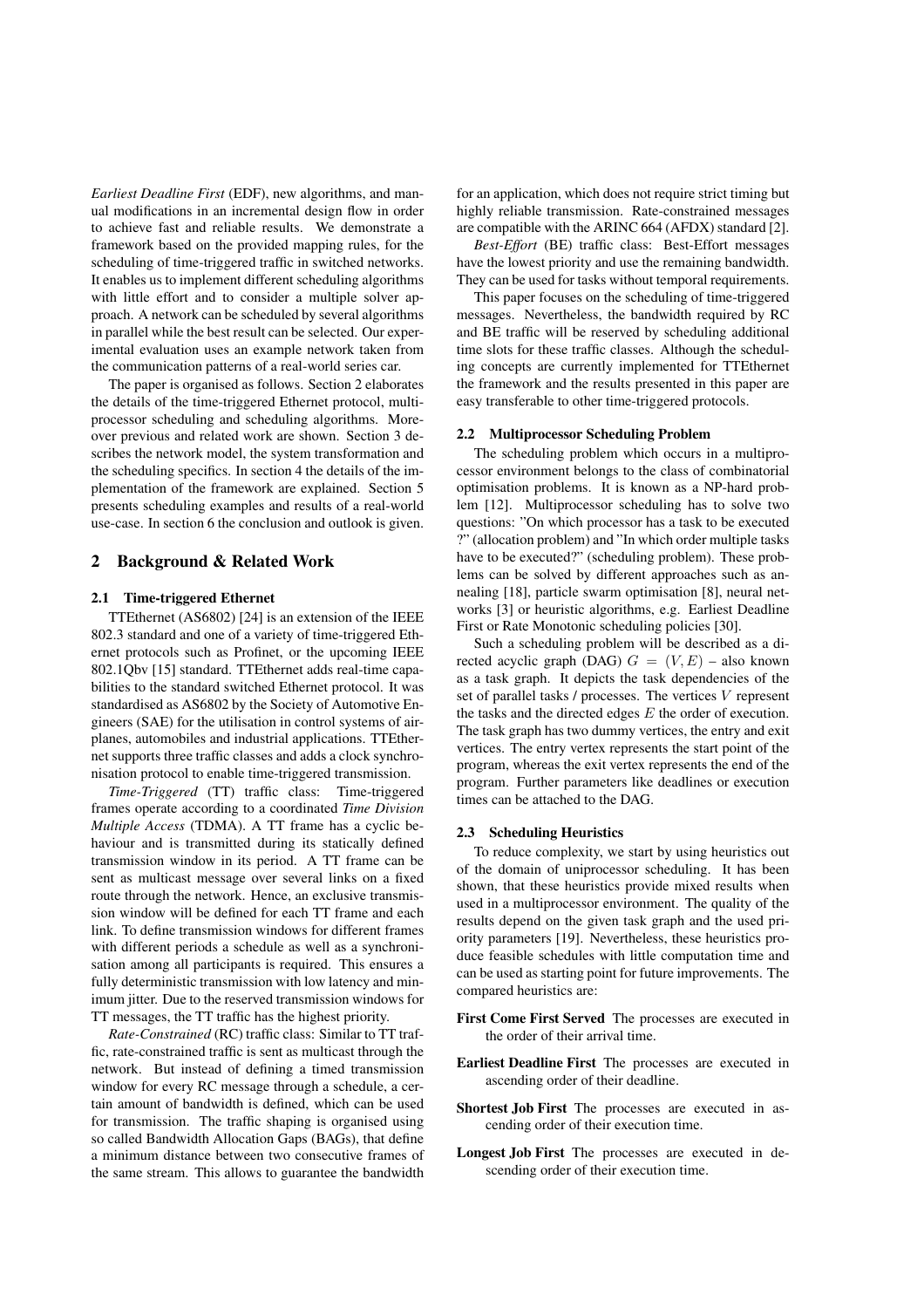*Earliest Deadline First* (EDF), new algorithms, and manual modifications in an incremental design flow in order to achieve fast and reliable results. We demonstrate a framework based on the provided mapping rules, for the scheduling of time-triggered traffic in switched networks. It enables us to implement different scheduling algorithms with little effort and to consider a multiple solver approach. A network can be scheduled by several algorithms in parallel while the best result can be selected. Our experimental evaluation uses an example network taken from the communication patterns of a real-world series car.

The paper is organised as follows. Section 2 elaborates the details of the time-triggered Ethernet protocol, multiprocessor scheduling and scheduling algorithms. Moreover previous and related work are shown. Section 3 describes the network model, the system transformation and the scheduling specifics. In section 4 the details of the implementation of the framework are explained. Section 5 presents scheduling examples and results of a real-world use-case. In section 6 the conclusion and outlook is given.

#### 2 Background & Related Work

#### 2.1 Time-triggered Ethernet

TTEthernet (AS6802) [24] is an extension of the IEEE 802.3 standard and one of a variety of time-triggered Ethernet protocols such as Profinet, or the upcoming IEEE 802.1Qbv [15] standard. TTEthernet adds real-time capabilities to the standard switched Ethernet protocol. It was standardised as AS6802 by the Society of Automotive Engineers (SAE) for the utilisation in control systems of airplanes, automobiles and industrial applications. TTEthernet supports three traffic classes and adds a clock synchronisation protocol to enable time-triggered transmission.

*Time-Triggered* (TT) traffic class: Time-triggered frames operate according to a coordinated *Time Division Multiple Access* (TDMA). A TT frame has a cyclic behaviour and is transmitted during its statically defined transmission window in its period. A TT frame can be sent as multicast message over several links on a fixed route through the network. Hence, an exclusive transmission window will be defined for each TT frame and each link. To define transmission windows for different frames with different periods a schedule as well as a synchronisation among all participants is required. This ensures a fully deterministic transmission with low latency and minimum jitter. Due to the reserved transmission windows for TT messages, the TT traffic has the highest priority.

*Rate-Constrained* (RC) traffic class: Similar to TT traffic, rate-constrained traffic is sent as multicast through the network. But instead of defining a timed transmission window for every RC message through a schedule, a certain amount of bandwidth is defined, which can be used for transmission. The traffic shaping is organised using so called Bandwidth Allocation Gaps (BAGs), that define a minimum distance between two consecutive frames of the same stream. This allows to guarantee the bandwidth

for an application, which does not require strict timing but highly reliable transmission. Rate-constrained messages are compatible with the ARINC 664 (AFDX) standard [2].

*Best-Effort* (BE) traffic class: Best-Effort messages have the lowest priority and use the remaining bandwidth. They can be used for tasks without temporal requirements.

This paper focuses on the scheduling of time-triggered messages. Nevertheless, the bandwidth required by RC and BE traffic will be reserved by scheduling additional time slots for these traffic classes. Although the scheduling concepts are currently implemented for TTEthernet the framework and the results presented in this paper are easy transferable to other time-triggered protocols.

# 2.2 Multiprocessor Scheduling Problem

The scheduling problem which occurs in a multiprocessor environment belongs to the class of combinatorial optimisation problems. It is known as a NP-hard problem [12]. Multiprocessor scheduling has to solve two questions: "On which processor has a task to be executed ?" (allocation problem) and "In which order multiple tasks have to be executed?" (scheduling problem). These problems can be solved by different approaches such as annealing [18], particle swarm optimisation [8], neural networks [3] or heuristic algorithms, e.g. Earliest Deadline First or Rate Monotonic scheduling policies [30].

Such a scheduling problem will be described as a directed acyclic graph (DAG)  $G = (V, E)$  – also known as a task graph. It depicts the task dependencies of the set of parallel tasks / processes. The vertices *V* represent the tasks and the directed edges *E* the order of execution. The task graph has two dummy vertices, the entry and exit vertices. The entry vertex represents the start point of the program, whereas the exit vertex represents the end of the program. Further parameters like deadlines or execution times can be attached to the DAG.

## 2.3 Scheduling Heuristics

To reduce complexity, we start by using heuristics out of the domain of uniprocessor scheduling. It has been shown, that these heuristics provide mixed results when used in a multiprocessor environment. The quality of the results depend on the given task graph and the used priority parameters [19]. Nevertheless, these heuristics produce feasible schedules with little computation time and can be used as starting point for future improvements. The compared heuristics are:

- First Come First Served The processes are executed in the order of their arrival time.
- Earliest Deadline First The processes are executed in ascending order of their deadline.
- Shortest Job First The processes are executed in ascending order of their execution time.
- Longest Job First The processes are executed in descending order of their execution time.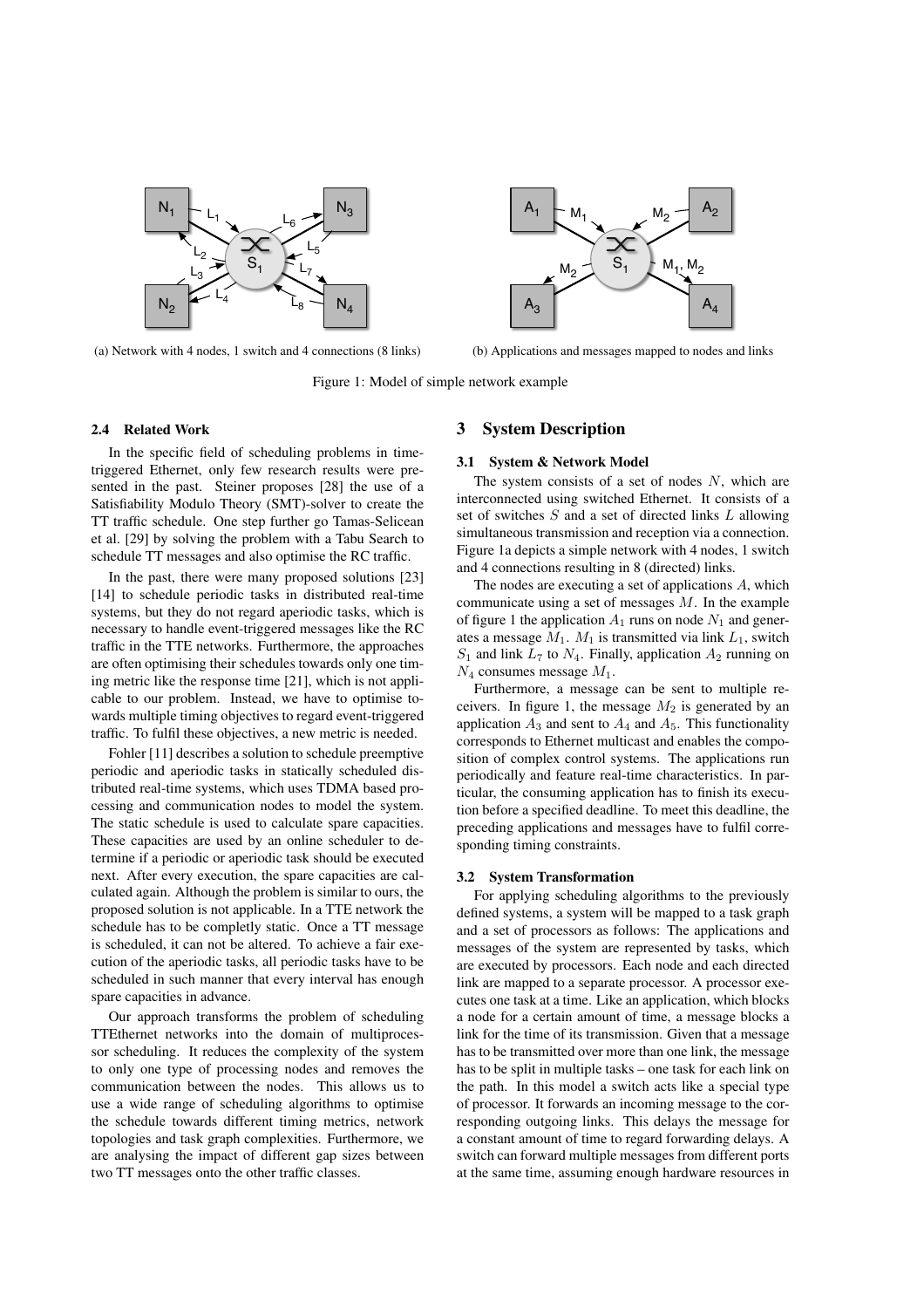



(b) Applications and messages mapped to nodes and links

 $A^4$ 

 $M<sub>1</sub>$ ,  $M<sub>2</sub>$ 

 $S<sub>1</sub>$ 

 $M_1$   $M_2$   $M_2$ 

Figure 1: Model of simple network example

#### 2.4 Related Work

In the specific field of scheduling problems in timetriggered Ethernet, only few research results were presented in the past. Steiner proposes [28] the use of a Satisfiability Modulo Theory (SMT)-solver to create the TT traffic schedule. One step further go Tamas-Selicean et al. [29] by solving the problem with a Tabu Search to schedule TT messages and also optimise the RC traffic.

In the past, there were many proposed solutions [23] [14] to schedule periodic tasks in distributed real-time systems, but they do not regard aperiodic tasks, which is necessary to handle event-triggered messages like the RC traffic in the TTE networks. Furthermore, the approaches are often optimising their schedules towards only one timing metric like the response time [21], which is not applicable to our problem. Instead, we have to optimise towards multiple timing objectives to regard event-triggered traffic. To fulfil these objectives, a new metric is needed.

Fohler [11] describes a solution to schedule preemptive periodic and aperiodic tasks in statically scheduled distributed real-time systems, which uses TDMA based processing and communication nodes to model the system. The static schedule is used to calculate spare capacities. These capacities are used by an online scheduler to determine if a periodic or aperiodic task should be executed next. After every execution, the spare capacities are calculated again. Although the problem is similar to ours, the proposed solution is not applicable. In a TTE network the schedule has to be completly static. Once a TT message is scheduled, it can not be altered. To achieve a fair execution of the aperiodic tasks, all periodic tasks have to be scheduled in such manner that every interval has enough spare capacities in advance.

Our approach transforms the problem of scheduling TTEthernet networks into the domain of multiprocessor scheduling. It reduces the complexity of the system to only one type of processing nodes and removes the communication between the nodes. This allows us to use a wide range of scheduling algorithms to optimise the schedule towards different timing metrics, network topologies and task graph complexities. Furthermore, we are analysing the impact of different gap sizes between two TT messages onto the other traffic classes.

# 3 System Description

 $A_{1}$ 

 $A<sub>3</sub>$ 

 $M<sub>2</sub>$ 

#### 3.1 System & Network Model

The system consists of a set of nodes *N*, which are interconnected using switched Ethernet. It consists of a set of switches *S* and a set of directed links *L* allowing simultaneous transmission and reception via a connection. Figure 1a depicts a simple network with 4 nodes, 1 switch and 4 connections resulting in 8 (directed) links.

The nodes are executing a set of applications *A*, which communicate using a set of messages *M*. In the example of figure 1 the application  $A_1$  runs on node  $N_1$  and generates a message  $M_1$ .  $M_1$  is transmitted via link  $L_1$ , switch  $S_1$  and link  $L_7$  to  $N_4$ . Finally, application  $A_2$  running on *N*<sup>4</sup> consumes message *M*1.

Furthermore, a message can be sent to multiple receivers. In figure 1, the message  $M_2$  is generated by an application  $A_3$  and sent to  $A_4$  and  $A_5$ . This functionality corresponds to Ethernet multicast and enables the composition of complex control systems. The applications run periodically and feature real-time characteristics. In particular, the consuming application has to finish its execution before a specified deadline. To meet this deadline, the preceding applications and messages have to fulfil corresponding timing constraints.

# 3.2 System Transformation

For applying scheduling algorithms to the previously defined systems, a system will be mapped to a task graph and a set of processors as follows: The applications and messages of the system are represented by tasks, which are executed by processors. Each node and each directed link are mapped to a separate processor. A processor executes one task at a time. Like an application, which blocks a node for a certain amount of time, a message blocks a link for the time of its transmission. Given that a message has to be transmitted over more than one link, the message has to be split in multiple tasks – one task for each link on the path. In this model a switch acts like a special type of processor. It forwards an incoming message to the corresponding outgoing links. This delays the message for a constant amount of time to regard forwarding delays. A switch can forward multiple messages from different ports at the same time, assuming enough hardware resources in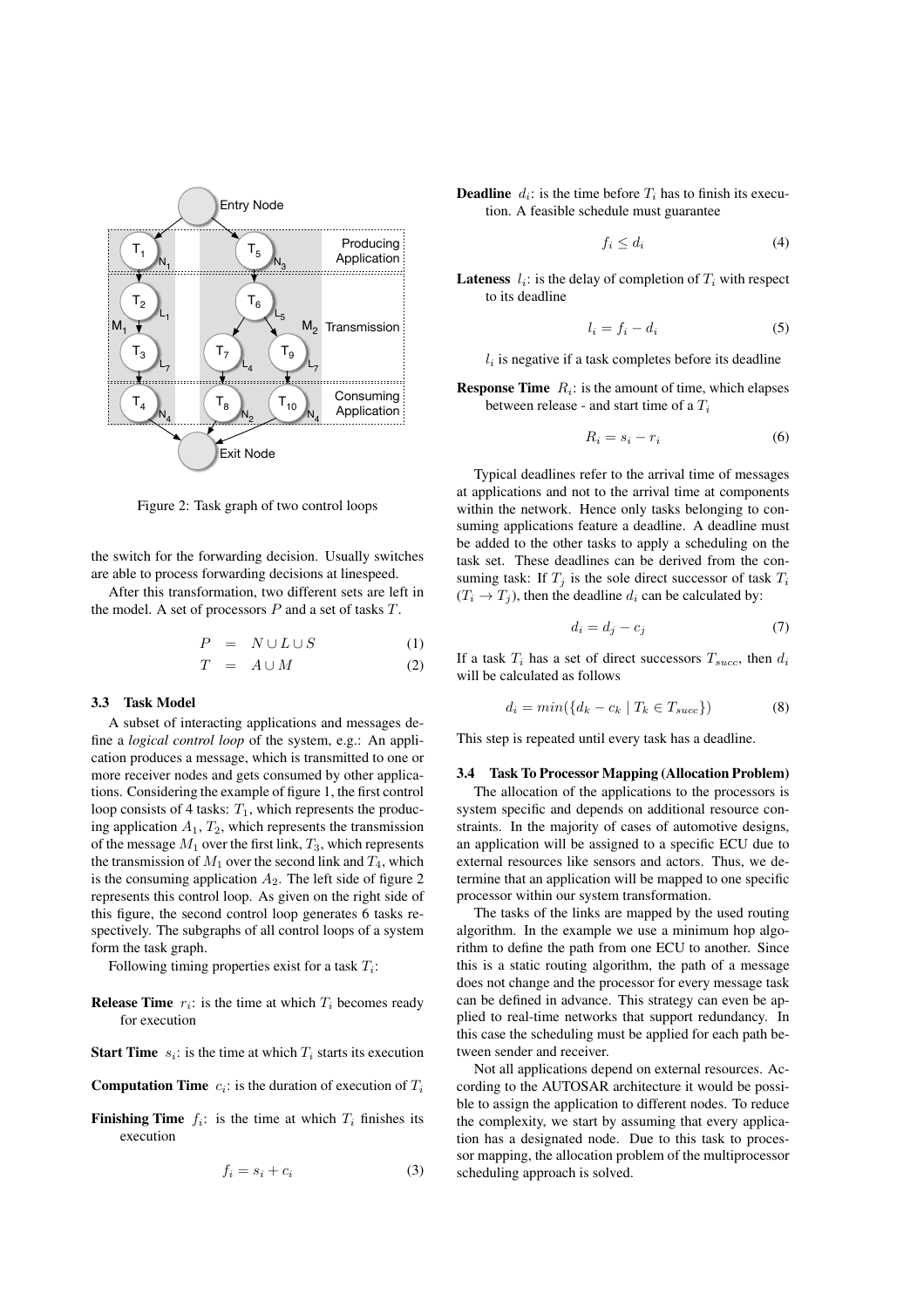

Figure 2: Task graph of two control loops

the switch for the forwarding decision. Usually switches are able to process forwarding decisions at linespeed.

After this transformation, two different sets are left in the model. A set of processors *P* and a set of tasks *T*.

$$
P = N \cup L \cup S \tag{1}
$$

$$
T = A \cup M \tag{2}
$$

# 3.3 Task Model

A subset of interacting applications and messages define a *logical control loop* of the system, e.g.: An application produces a message, which is transmitted to one or more receiver nodes and gets consumed by other applications. Considering the example of figure 1, the first control loop consists of 4 tasks:  $T_1$ , which represents the producing application  $A_1, T_2$ , which represents the transmission of the message  $M_1$  over the first link,  $T_3$ , which represents the transmission of  $M_1$  over the second link and  $T_4$ , which is the consuming application  $A_2$ . The left side of figure 2 represents this control loop. As given on the right side of this figure, the second control loop generates 6 tasks respectively. The subgraphs of all control loops of a system form the task graph.

Following timing properties exist for a task *Ti*:

- **Release Time**  $r_i$ : is the time at which  $T_i$  becomes ready for execution
- **Start Time**  $s_i$ : is the time at which  $T_i$  starts its execution
- **Computation Time**  $c_i$ : is the duration of execution of  $T_i$
- **Finishing Time**  $f_i$ : is the time at which  $T_i$  finishes its execution

$$
f_i = s_i + c_i \tag{3}
$$

**Deadline**  $d_i$ : is the time before  $T_i$  has to finish its execution. A feasible schedule must guarantee

$$
f_i \le d_i \tag{4}
$$

**Lateness**  $l_i$ : is the delay of completion of  $T_i$  with respect to its deadline

$$
l_i = f_i - d_i \tag{5}
$$

 $l_i$  is negative if a task completes before its deadline

Response Time *Ri*: is the amount of time, which elapses between release - and start time of a *T<sup>i</sup>*

$$
R_i = s_i - r_i \tag{6}
$$

Typical deadlines refer to the arrival time of messages at applications and not to the arrival time at components within the network. Hence only tasks belonging to consuming applications feature a deadline. A deadline must be added to the other tasks to apply a scheduling on the task set. These deadlines can be derived from the consuming task: If  $T_i$  is the sole direct successor of task  $T_i$  $(T_i \rightarrow T_j)$ , then the deadline  $d_i$  can be calculated by:

$$
d_i = d_j - c_j \tag{7}
$$

If a task  $T_i$  has a set of direct successors  $T_{succ}$ , then  $d_i$ will be calculated as follows

$$
d_i = min(\{d_k - c_k \mid T_k \in T_{succ}\})
$$
 (8)

This step is repeated until every task has a deadline.

#### 3.4 Task To Processor Mapping (Allocation Problem)

The allocation of the applications to the processors is system specific and depends on additional resource constraints. In the majority of cases of automotive designs, an application will be assigned to a specific ECU due to external resources like sensors and actors. Thus, we determine that an application will be mapped to one specific processor within our system transformation.

The tasks of the links are mapped by the used routing algorithm. In the example we use a minimum hop algorithm to define the path from one ECU to another. Since this is a static routing algorithm, the path of a message does not change and the processor for every message task can be defined in advance. This strategy can even be applied to real-time networks that support redundancy. In this case the scheduling must be applied for each path between sender and receiver.

Not all applications depend on external resources. According to the AUTOSAR architecture it would be possible to assign the application to different nodes. To reduce the complexity, we start by assuming that every application has a designated node. Due to this task to processor mapping, the allocation problem of the multiprocessor scheduling approach is solved.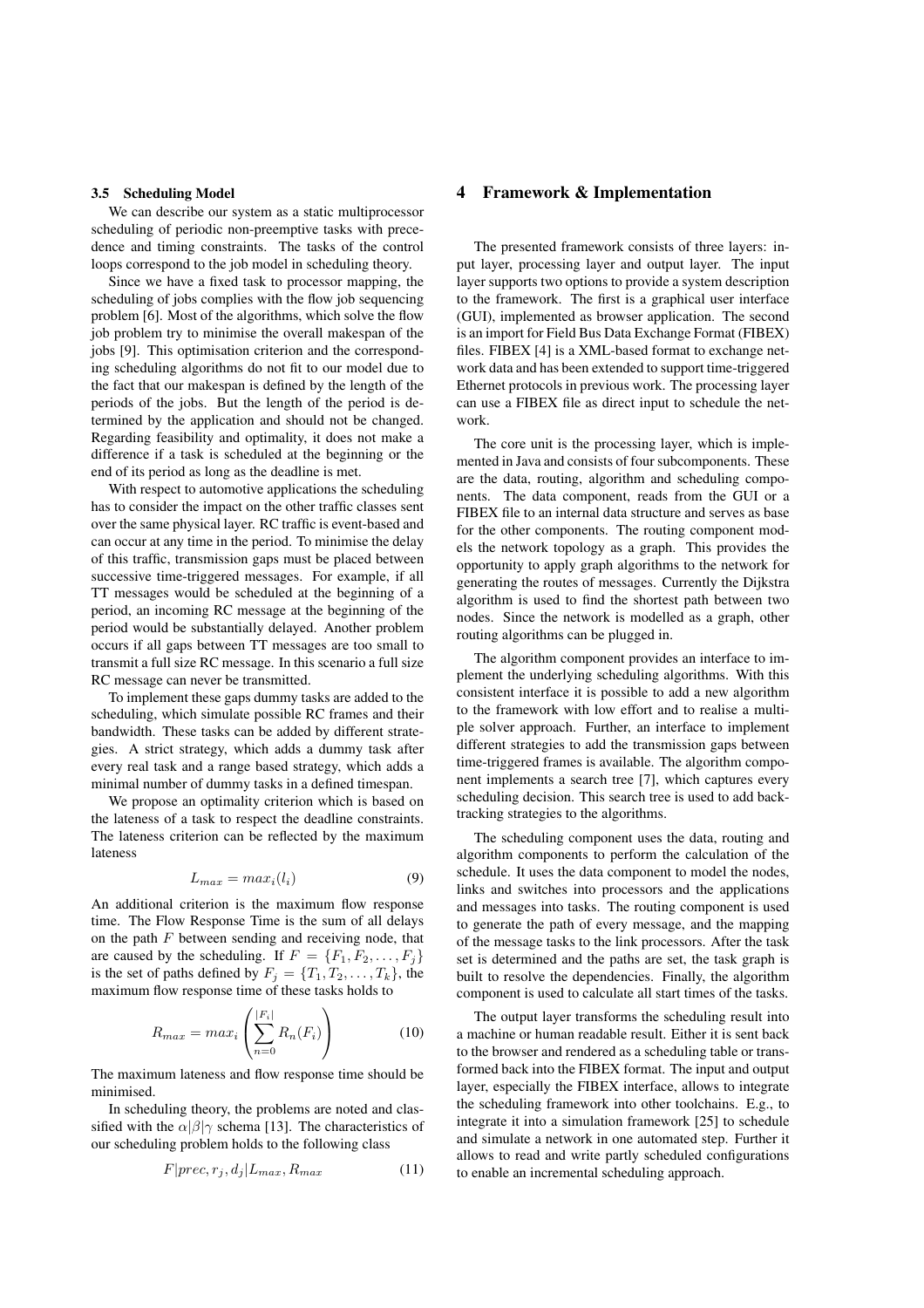# 3.5 Scheduling Model

We can describe our system as a static multiprocessor scheduling of periodic non-preemptive tasks with precedence and timing constraints. The tasks of the control loops correspond to the job model in scheduling theory.

Since we have a fixed task to processor mapping, the scheduling of jobs complies with the flow job sequencing problem [6]. Most of the algorithms, which solve the flow job problem try to minimise the overall makespan of the jobs [9]. This optimisation criterion and the corresponding scheduling algorithms do not fit to our model due to the fact that our makespan is defined by the length of the periods of the jobs. But the length of the period is determined by the application and should not be changed. Regarding feasibility and optimality, it does not make a difference if a task is scheduled at the beginning or the end of its period as long as the deadline is met.

With respect to automotive applications the scheduling has to consider the impact on the other traffic classes sent over the same physical layer. RC traffic is event-based and can occur at any time in the period. To minimise the delay of this traffic, transmission gaps must be placed between successive time-triggered messages. For example, if all TT messages would be scheduled at the beginning of a period, an incoming RC message at the beginning of the period would be substantially delayed. Another problem occurs if all gaps between TT messages are too small to transmit a full size RC message. In this scenario a full size RC message can never be transmitted.

To implement these gaps dummy tasks are added to the scheduling, which simulate possible RC frames and their bandwidth. These tasks can be added by different strategies. A strict strategy, which adds a dummy task after every real task and a range based strategy, which adds a minimal number of dummy tasks in a defined timespan.

We propose an optimality criterion which is based on the lateness of a task to respect the deadline constraints. The lateness criterion can be reflected by the maximum lateness

$$
L_{max} = max_i(l_i) \tag{9}
$$

An additional criterion is the maximum flow response time. The Flow Response Time is the sum of all delays on the path *F* between sending and receiving node, that are caused by the scheduling. If  $F = \{F_1, F_2, \ldots, F_j\}$ is the set of paths defined by  $F_j = \{T_1, T_2, \ldots, T_k\}$ , the maximum flow response time of these tasks holds to

$$
R_{max} = max_i \left( \sum_{n=0}^{|F_i|} R_n(F_i) \right) \tag{10}
$$

The maximum lateness and flow response time should be minimised.

In scheduling theory, the problems are noted and classified with the  $\alpha|\beta|\gamma$  schema [13]. The characteristics of our scheduling problem holds to the following class

$$
F|prec, r_j, d_j|L_{max}, R_{max} \tag{11}
$$

# 4 Framework & Implementation

The presented framework consists of three layers: input layer, processing layer and output layer. The input layer supports two options to provide a system description to the framework. The first is a graphical user interface (GUI), implemented as browser application. The second is an import for Field Bus Data Exchange Format (FIBEX) files. FIBEX [4] is a XML-based format to exchange network data and has been extended to support time-triggered Ethernet protocols in previous work. The processing layer can use a FIBEX file as direct input to schedule the network.

The core unit is the processing layer, which is implemented in Java and consists of four subcomponents. These are the data, routing, algorithm and scheduling components. The data component, reads from the GUI or a FIBEX file to an internal data structure and serves as base for the other components. The routing component models the network topology as a graph. This provides the opportunity to apply graph algorithms to the network for generating the routes of messages. Currently the Dijkstra algorithm is used to find the shortest path between two nodes. Since the network is modelled as a graph, other routing algorithms can be plugged in.

The algorithm component provides an interface to implement the underlying scheduling algorithms. With this consistent interface it is possible to add a new algorithm to the framework with low effort and to realise a multiple solver approach. Further, an interface to implement different strategies to add the transmission gaps between time-triggered frames is available. The algorithm component implements a search tree [7], which captures every scheduling decision. This search tree is used to add backtracking strategies to the algorithms.

The scheduling component uses the data, routing and algorithm components to perform the calculation of the schedule. It uses the data component to model the nodes, links and switches into processors and the applications and messages into tasks. The routing component is used to generate the path of every message, and the mapping of the message tasks to the link processors. After the task set is determined and the paths are set, the task graph is built to resolve the dependencies. Finally, the algorithm component is used to calculate all start times of the tasks.

The output layer transforms the scheduling result into a machine or human readable result. Either it is sent back to the browser and rendered as a scheduling table or transformed back into the FIBEX format. The input and output layer, especially the FIBEX interface, allows to integrate the scheduling framework into other toolchains. E.g., to integrate it into a simulation framework [25] to schedule and simulate a network in one automated step. Further it allows to read and write partly scheduled configurations to enable an incremental scheduling approach.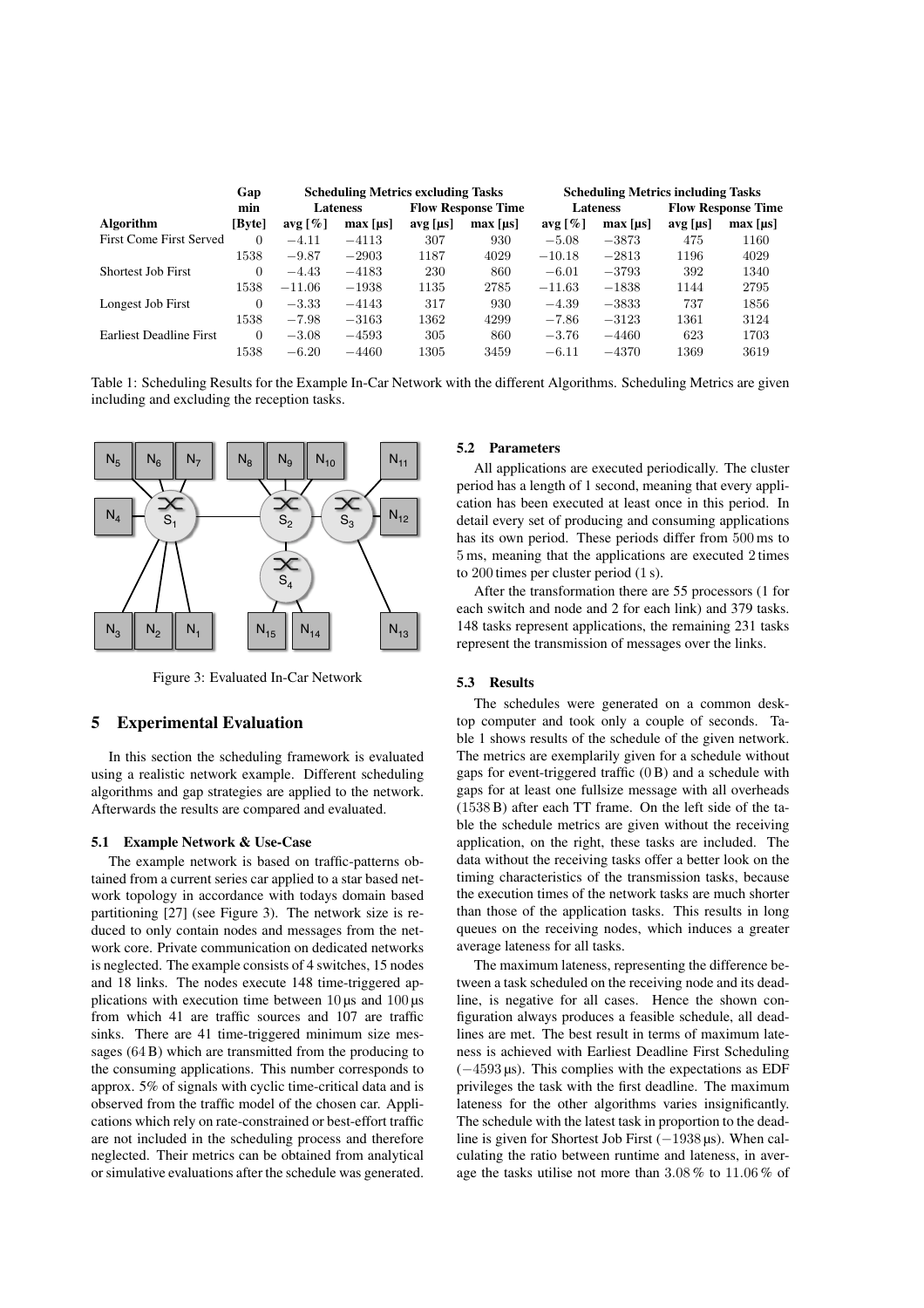|                                | Gap            | <b>Scheduling Metrics excluding Tasks</b> |                 |                           |            | <b>Scheduling Metrics including Tasks</b> |                  |                           |                  |
|--------------------------------|----------------|-------------------------------------------|-----------------|---------------------------|------------|-------------------------------------------|------------------|---------------------------|------------------|
|                                | min            | <b>Lateness</b>                           |                 | <b>Flow Response Time</b> |            | <b>Lateness</b>                           |                  | <b>Flow Response Time</b> |                  |
| <b>Algorithm</b>               | [Byte]         | avg [%]                                   | $max [ \mu s ]$ | avg [µs]                  | $max$ [µs] | avg [%]                                   | $max$ [ $\mu$ s] | $avg$ [ $\mu s$ ]         | $max$ [ $\mu$ s] |
| <b>First Come First Served</b> | $\Omega$       | $-4.11$                                   | $-4113$         | 307                       | 930        | $-5.08$                                   | $-3873$          | 475                       | 1160             |
|                                | 1538           | $-9.87$                                   | $-2903$         | 1187                      | 4029       | $-10.18$                                  | $-2813$          | 1196                      | 4029             |
| <b>Shortest Job First</b>      | $\overline{0}$ | $-4.43$                                   | $-4183$         | 230                       | 860        | $-6.01$                                   | $-3793$          | 392                       | 1340             |
|                                | 1538           | $-11.06$                                  | $-1938$         | 1135                      | 2785       | $-11.63$                                  | $-1838$          | 1144                      | 2795             |
| Longest Job First              | $\Omega$       | $-3.33$                                   | $-4143$         | 317                       | 930        | $-4.39$                                   | $-3833$          | 737                       | 1856             |
|                                | 1538           | $-7.98$                                   | $-3163$         | 1362                      | 4299       | $-7.86$                                   | $-3123$          | 1361                      | 3124             |
| Earliest Deadline First        | 0              | $-3.08$                                   | $-4593$         | 305                       | 860        | $-3.76$                                   | $-4460$          | 623                       | 1703             |
|                                | 1538           | $-6.20$                                   | $-4460$         | 1305                      | 3459       | $-6.11$                                   | $-4370$          | 1369                      | 3619             |

Table 1: Scheduling Results for the Example In-Car Network with the different Algorithms. Scheduling Metrics are given including and excluding the reception tasks.



Figure 3: Evaluated In-Car Network

# 5 Experimental Evaluation

In this section the scheduling framework is evaluated using a realistic network example. Different scheduling algorithms and gap strategies are applied to the network. Afterwards the results are compared and evaluated.

### 5.1 Example Network & Use-Case

The example network is based on traffic-patterns obtained from a current series car applied to a star based network topology in accordance with todays domain based partitioning [27] (see Figure 3). The network size is reduced to only contain nodes and messages from the network core. Private communication on dedicated networks is neglected. The example consists of 4 switches, 15 nodes and 18 links. The nodes execute 148 time-triggered applications with execution time between 10 us and 100 us from which 41 are traffic sources and 107 are traffic sinks. There are 41 time-triggered minimum size messages (64 B) which are transmitted from the producing to the consuming applications. This number corresponds to approx. 5% of signals with cyclic time-critical data and is observed from the traffic model of the chosen car. Applications which rely on rate-constrained or best-effort traffic are not included in the scheduling process and therefore neglected. Their metrics can be obtained from analytical or simulative evaluations after the schedule was generated.

#### 5.2 Parameters

All applications are executed periodically. The cluster period has a length of 1 second, meaning that every application has been executed at least once in this period. In detail every set of producing and consuming applications has its own period. These periods differ from 500 ms to 5 ms, meaning that the applications are executed 2 times to 200 times per cluster period (1 s).

After the transformation there are 55 processors (1 for each switch and node and 2 for each link) and 379 tasks. 148 tasks represent applications, the remaining 231 tasks represent the transmission of messages over the links.

## 5.3 Results

The schedules were generated on a common desktop computer and took only a couple of seconds. Table 1 shows results of the schedule of the given network. The metrics are exemplarily given for a schedule without gaps for event-triggered traffic (0B) and a schedule with gaps for at least one fullsize message with all overheads (1538B) after each TT frame. On the left side of the table the schedule metrics are given without the receiving application, on the right, these tasks are included. The data without the receiving tasks offer a better look on the timing characteristics of the transmission tasks, because the execution times of the network tasks are much shorter than those of the application tasks. This results in long queues on the receiving nodes, which induces a greater average lateness for all tasks.

The maximum lateness, representing the difference between a task scheduled on the receiving node and its deadline, is negative for all cases. Hence the shown configuration always produces a feasible schedule, all deadlines are met. The best result in terms of maximum lateness is achieved with Earliest Deadline First Scheduling  $(-4593 \,\mu s)$ . This complies with the expectations as EDF privileges the task with the first deadline. The maximum lateness for the other algorithms varies insignificantly. The schedule with the latest task in proportion to the deadline is given for Shortest Job First  $(-1938 \,\mu s)$ . When calculating the ratio between runtime and lateness, in average the tasks utilise not more than 3*.*08 % to 11*.*06 % of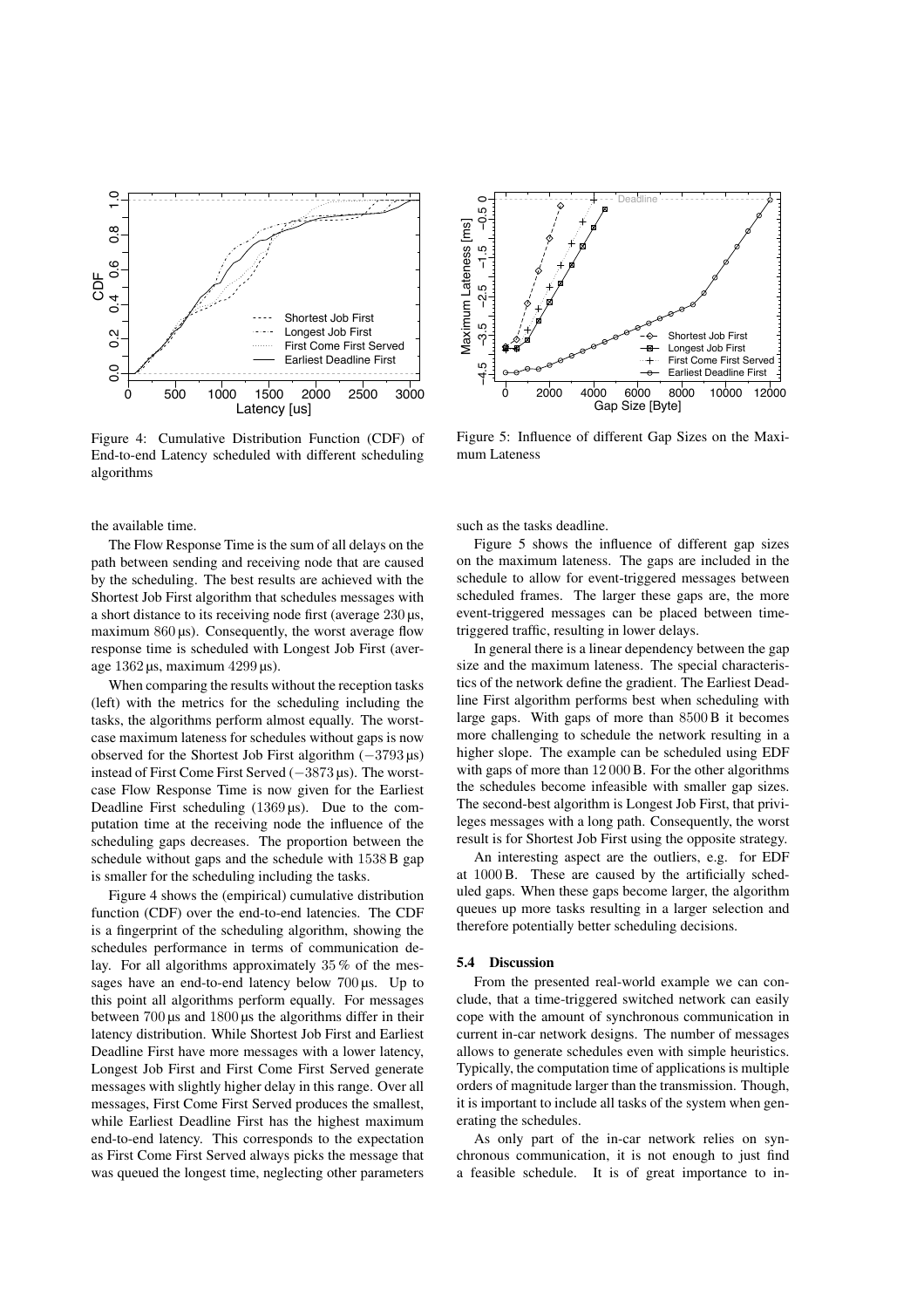

Figure 4: Cumulative Distribution Function (CDF) of End-to-end Latency scheduled with different scheduling algorithms

the available time.

The Flow Response Time is the sum of all delays on the path between sending and receiving node that are caused by the scheduling. The best results are achieved with the Shortest Job First algorithm that schedules messages with a short distance to its receiving node first (average 230 µs, maximum  $860 \,\mu s$ ). Consequently, the worst average flow response time is scheduled with Longest Job First (average 1362 µs, maximum 4299 µs).

When comparing the results without the reception tasks (left) with the metrics for the scheduling including the tasks, the algorithms perform almost equally. The worstcase maximum lateness for schedules without gaps is now observed for the Shortest Job First algorithm  $(-3793 \,\mu s)$ instead of First Come First Served  $(-3873 \,\mu s)$ . The worstcase Flow Response Time is now given for the Earliest Deadline First scheduling  $(1369 \,\mu s)$ . Due to the computation time at the receiving node the influence of the scheduling gaps decreases. The proportion between the schedule without gaps and the schedule with 1538 B gap is smaller for the scheduling including the tasks.

Figure 4 shows the (empirical) cumulative distribution function (CDF) over the end-to-end latencies. The CDF is a fingerprint of the scheduling algorithm, showing the schedules performance in terms of communication delay. For all algorithms approximately 35 % of the messages have an end-to-end latency below 700 µs. Up to this point all algorithms perform equally. For messages between 700 µs and 1800 µs the algorithms differ in their latency distribution. While Shortest Job First and Earliest Deadline First have more messages with a lower latency, Longest Job First and First Come First Served generate messages with slightly higher delay in this range. Over all messages, First Come First Served produces the smallest, while Earliest Deadline First has the highest maximum end-to-end latency. This corresponds to the expectation as First Come First Served always picks the message that was queued the longest time, neglecting other parameters



Figure 5: Influence of different Gap Sizes on the Maximum Lateness

such as the tasks deadline.

Figure 5 shows the influence of different gap sizes on the maximum lateness. The gaps are included in the schedule to allow for event-triggered messages between scheduled frames. The larger these gaps are, the more event-triggered messages can be placed between timetriggered traffic, resulting in lower delays.

In general there is a linear dependency between the gap size and the maximum lateness. The special characteristics of the network define the gradient. The Earliest Deadline First algorithm performs best when scheduling with large gaps. With gaps of more than 8500B it becomes more challenging to schedule the network resulting in a higher slope. The example can be scheduled using EDF with gaps of more than 12 000 B. For the other algorithms the schedules become infeasible with smaller gap sizes. The second-best algorithm is Longest Job First, that privileges messages with a long path. Consequently, the worst result is for Shortest Job First using the opposite strategy.

An interesting aspect are the outliers, e.g. for EDF at 1000B. These are caused by the artificially scheduled gaps. When these gaps become larger, the algorithm queues up more tasks resulting in a larger selection and therefore potentially better scheduling decisions.

## 5.4 Discussion

From the presented real-world example we can conclude, that a time-triggered switched network can easily cope with the amount of synchronous communication in current in-car network designs. The number of messages allows to generate schedules even with simple heuristics. Typically, the computation time of applications is multiple orders of magnitude larger than the transmission. Though, it is important to include all tasks of the system when generating the schedules.

As only part of the in-car network relies on synchronous communication, it is not enough to just find a feasible schedule. It is of great importance to in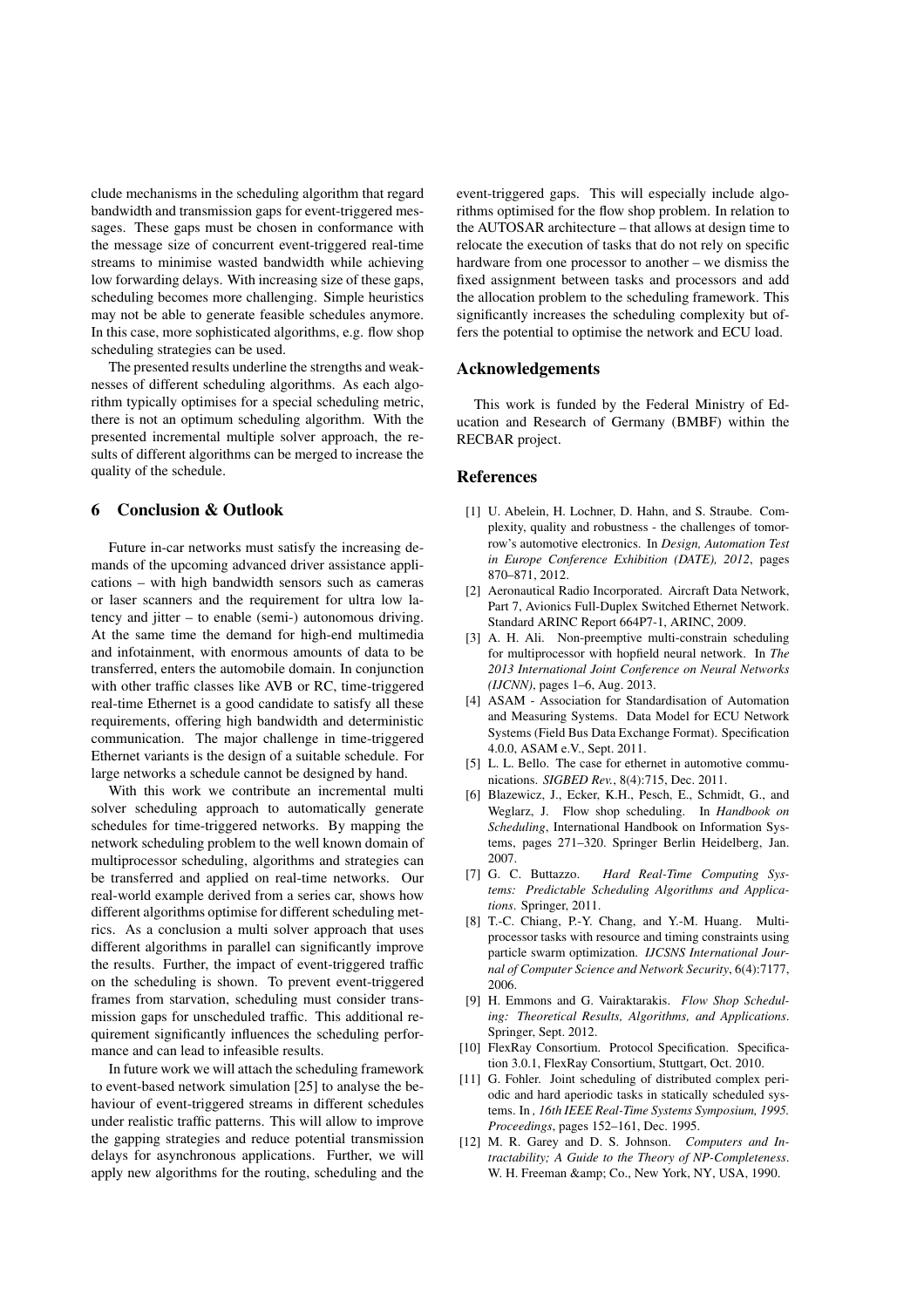clude mechanisms in the scheduling algorithm that regard bandwidth and transmission gaps for event-triggered messages. These gaps must be chosen in conformance with the message size of concurrent event-triggered real-time streams to minimise wasted bandwidth while achieving low forwarding delays. With increasing size of these gaps, scheduling becomes more challenging. Simple heuristics may not be able to generate feasible schedules anymore. In this case, more sophisticated algorithms, e.g. flow shop scheduling strategies can be used.

The presented results underline the strengths and weaknesses of different scheduling algorithms. As each algorithm typically optimises for a special scheduling metric, there is not an optimum scheduling algorithm. With the presented incremental multiple solver approach, the results of different algorithms can be merged to increase the quality of the schedule.

# 6 Conclusion & Outlook

Future in-car networks must satisfy the increasing demands of the upcoming advanced driver assistance applications – with high bandwidth sensors such as cameras or laser scanners and the requirement for ultra low latency and jitter – to enable (semi-) autonomous driving. At the same time the demand for high-end multimedia and infotainment, with enormous amounts of data to be transferred, enters the automobile domain. In conjunction with other traffic classes like AVB or RC, time-triggered real-time Ethernet is a good candidate to satisfy all these requirements, offering high bandwidth and deterministic communication. The major challenge in time-triggered Ethernet variants is the design of a suitable schedule. For large networks a schedule cannot be designed by hand.

With this work we contribute an incremental multi solver scheduling approach to automatically generate schedules for time-triggered networks. By mapping the network scheduling problem to the well known domain of multiprocessor scheduling, algorithms and strategies can be transferred and applied on real-time networks. Our real-world example derived from a series car, shows how different algorithms optimise for different scheduling metrics. As a conclusion a multi solver approach that uses different algorithms in parallel can significantly improve the results. Further, the impact of event-triggered traffic on the scheduling is shown. To prevent event-triggered frames from starvation, scheduling must consider transmission gaps for unscheduled traffic. This additional requirement significantly influences the scheduling performance and can lead to infeasible results.

In future work we will attach the scheduling framework to event-based network simulation [25] to analyse the behaviour of event-triggered streams in different schedules under realistic traffic patterns. This will allow to improve the gapping strategies and reduce potential transmission delays for asynchronous applications. Further, we will apply new algorithms for the routing, scheduling and the event-triggered gaps. This will especially include algorithms optimised for the flow shop problem. In relation to the AUTOSAR architecture – that allows at design time to relocate the execution of tasks that do not rely on specific hardware from one processor to another – we dismiss the fixed assignment between tasks and processors and add the allocation problem to the scheduling framework. This significantly increases the scheduling complexity but offers the potential to optimise the network and ECU load.

# Acknowledgements

This work is funded by the Federal Ministry of Education and Research of Germany (BMBF) within the RECBAR project.

## References

- [1] U. Abelein, H. Lochner, D. Hahn, and S. Straube. Complexity, quality and robustness - the challenges of tomorrow's automotive electronics. In *Design, Automation Test in Europe Conference Exhibition (DATE), 2012*, pages 870–871, 2012.
- [2] Aeronautical Radio Incorporated. Aircraft Data Network, Part 7, Avionics Full-Duplex Switched Ethernet Network. Standard ARINC Report 664P7-1, ARINC, 2009.
- [3] A. H. Ali. Non-preemptive multi-constrain scheduling for multiprocessor with hopfield neural network. In *The 2013 International Joint Conference on Neural Networks (IJCNN)*, pages 1–6, Aug. 2013.
- [4] ASAM Association for Standardisation of Automation and Measuring Systems. Data Model for ECU Network Systems (Field Bus Data Exchange Format). Specification 4.0.0, ASAM e.V., Sept. 2011.
- [5] L. L. Bello. The case for ethernet in automotive communications. *SIGBED Rev.*, 8(4):715, Dec. 2011.
- [6] Blazewicz, J., Ecker, K.H., Pesch, E., Schmidt, G., and Weglarz, J. Flow shop scheduling. In *Handbook on Scheduling*, International Handbook on Information Systems, pages 271–320. Springer Berlin Heidelberg, Jan. 2007.<br>[7] G. C. Buttazzo.
- Hard Real-Time Computing Sys*tems: Predictable Scheduling Algorithms and Applications*. Springer, 2011.
- [8] T.-C. Chiang, P.-Y. Chang, and Y.-M. Huang. Multiprocessor tasks with resource and timing constraints using particle swarm optimization. *IJCSNS International Journal of Computer Science and Network Security*, 6(4):7177, 2006.
- [9] H. Emmons and G. Vairaktarakis. *Flow Shop Scheduling: Theoretical Results, Algorithms, and Applications*. Springer, Sept. 2012.
- [10] FlexRay Consortium. Protocol Specification. Specification 3.0.1, FlexRay Consortium, Stuttgart, Oct. 2010.
- [11] G. Fohler. Joint scheduling of distributed complex periodic and hard aperiodic tasks in statically scheduled systems. In *, 16th IEEE Real-Time Systems Symposium, 1995. Proceedings*, pages 152–161, Dec. 1995.
- [12] M. R. Garey and D. S. Johnson. *Computers and Intractability; A Guide to the Theory of NP-Completeness*. W. H. Freeman & amp; Co., New York, NY, USA, 1990.